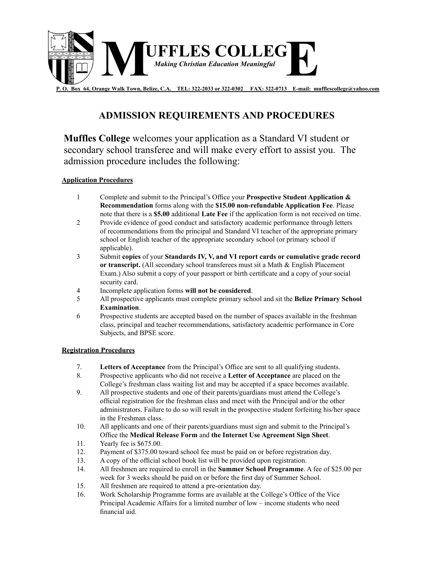

## **ADMISSION REQUIREMENTS AND PROCEDURES**

**Muffles College** welcomes your application as a Standard VI student or secondary school transferee and will make every effort to assist you. The admission procedure includes the following:

## **Application Procedures Application Procedures**

- 1. Complete and submit to the Principal's Office your **Prospective Student Application & Refinemendiation** formulation **formally** a Complete and submit to the Principal's Office your **Prospective Student Application &** Recommendation forms along with the \$15.00 non-refundable Application Fee. Please note that there is a **\$5.00** additional **Late Fee** if the application form is not received on time.
- 2 Provide evidence of good conduct and satisfactory academic performance through letters of recommendations from the principal and Standard VI teacher of the appropriate primary school or English teacher of the appropriate secondary school (or primary school if  $\alpha$  applicable).
	- 3 Submit **copies** of your **Standards IV, V, and VI report cards or cumulative grade record** or transcript. (All secondary school transferees must sit a Math & English Placement Exam.) Also submit a copy of your passport or birth certificate and a copy of your social 5. All prospective applicants must complete primary school and sit the **Belize Primary School**  security card.
	- **Examination**. 4 Incomplete application forms **will not be considered**.
- 5 All prospective applicants must complete primary school and sit the **Belize Primary School** class, principal and teacher recommendations, satisfactory academic performance in Core **Examination**.
- Substitution.<br>
6 Prospective students are accepted based on the number of spaces available in the freshman **Registration Procedures** class, principal and teacher recommendations, satisfactory academic performance in Core<br>September and DDSE seems 8. Prospective applicants who did not receive a **Letter of Acceptance** are placed on the Subjects, and BPSE score.

## College's freshman class waiting list and may be accepted if a space becomes available. 9. All prospective studies and one of the College's of the College's official the College's official the College's official the College's official the College's official the College's official the College's official the Co **Registration Procedures**

- registration for the freshman class and meet with the Principal and/or the other administrators. 7. **Letters of Acceptance** from the Principal's Office are sent to all qualifying students.
- 8. Prospective applicants who did not receive a Letter of Acceptance are placed on the College's freshman class waiting list and may be accepted if a space becomes available.
- 9. All prospective students and one of their parents/guardians must attend the College's official registration for the freshman class and meet with the Principal and/or the other administrators. Failure to do so will result in the prospective student forfeiting his/her space in the Freshman class.
- 10. All applicants and one of their parents/guardians must sign and submit to the Principal's Office the Medical Release Form and the Internet Use Agreement Sign Sheet.
- 11. Yearly fee is \$675.00.
- 12. Payment of \$375.00 toward school fee must be paid on or before registration day.
- 13. A copy of the official school book list will be provided upon registration.
- 14. All freshmen are required to enroll in the **Summer School Programme**. A fee of \$25.00 per week for 3 weeks should be paid on or before the first day of Summer School.
- 15. All freshmen are required to attend a pre-orientation day.
- 16. Work Scholarship Programme forms are available at the College's Office of the Vice Principal Academic Affairs for a limited number of low – income students who need financial aid.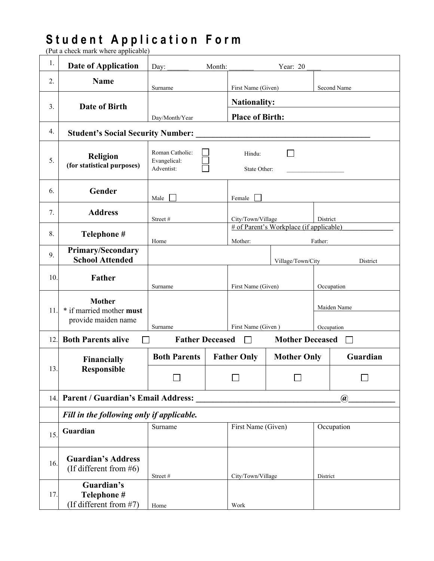## **S t u d e n t A p p l i c a t i o n F o r m**

(Put a check mark where applicable)

| 1.  | <b>Date of Application</b>                                                        | Day:                                          | Month: |                                               | Year: $20$                              |             |             |  |
|-----|-----------------------------------------------------------------------------------|-----------------------------------------------|--------|-----------------------------------------------|-----------------------------------------|-------------|-------------|--|
| 2.  | <b>Name</b>                                                                       | Surname                                       |        | First Name (Given)                            |                                         |             | Second Name |  |
| 3.  | Date of Birth                                                                     | Day/Month/Year                                |        | <b>Nationality:</b><br><b>Place of Birth:</b> |                                         |             |             |  |
| 4.  | <b>Student's Social Security Number:</b>                                          |                                               |        |                                               |                                         |             |             |  |
| 5.  | <b>Religion</b><br>(for statistical purposes)                                     | Roman Catholic:<br>Evangelical:<br>Adventist: |        | Hindu:<br>State Other:                        |                                         |             |             |  |
| 6.  | Gender                                                                            | Male                                          |        | Female                                        |                                         |             |             |  |
| 7.  | <b>Address</b>                                                                    | Street#                                       |        | City/Town/Village                             |                                         | District    |             |  |
| 8.  | Telephone #                                                                       | Home                                          |        | Mother:                                       | # of Parent's Workplace (if applicable) | Father:     |             |  |
| 9.  | <b>Primary/Secondary</b><br><b>School Attended</b>                                |                                               |        |                                               | Village/Town/City                       |             | District    |  |
| 10. | Father                                                                            | Surname                                       |        | First Name (Given)                            |                                         | Occupation  |             |  |
| 11. | <b>Mother</b><br>* if married mother must                                         |                                               |        |                                               |                                         | Maiden Name |             |  |
|     | provide maiden name                                                               | Surname                                       |        | First Name (Given)                            |                                         | Occupation  |             |  |
| 12. | <b>Both Parents alive</b>                                                         | <b>Father Deceased</b>                        |        | $\mathbf{I}$                                  | <b>Mother Deceased</b>                  |             |             |  |
|     | Financially<br><b>Responsible</b>                                                 | <b>Both Parents</b>                           |        | <b>Father Only</b>                            | <b>Mother Only</b>                      |             | Guardian    |  |
| 13. |                                                                                   |                                               |        |                                               |                                         |             |             |  |
|     | 14. Parent / Guardian's Email Address:<br>$\left(\widehat{\boldsymbol{a}}\right)$ |                                               |        |                                               |                                         |             |             |  |
|     | Fill in the following only if applicable.                                         |                                               |        |                                               |                                         |             |             |  |
| 15. | Guardian                                                                          | Surname                                       |        | First Name (Given)                            |                                         | Occupation  |             |  |
| 16. | <b>Guardian's Address</b><br>(If different from $#6$ )                            | Street#                                       |        | City/Town/Village                             |                                         | District    |             |  |
| 17. | Guardian's<br>Telephone #<br>(If different from #7)                               | Home                                          |        | Work                                          |                                         |             |             |  |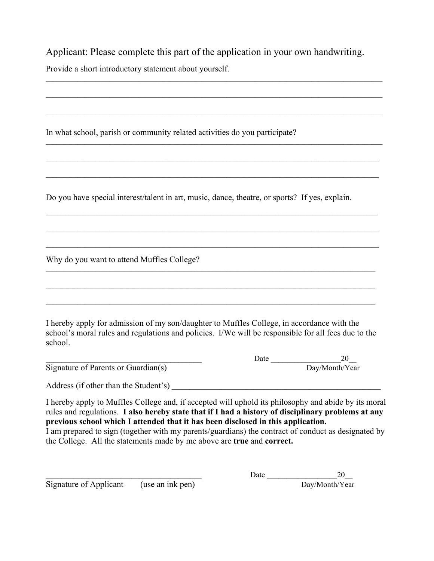Applicant: Please complete this part of the application in your own handwriting. Provide a short introductory statement about yourself.

 $\_$  , and the set of the set of the set of the set of the set of the set of the set of the set of the set of the set of the set of the set of the set of the set of the set of the set of the set of the set of the set of th

\_\_\_\_\_\_\_\_\_\_\_\_\_\_\_\_\_\_\_\_\_\_\_\_\_\_\_\_\_\_\_\_\_\_\_\_\_\_\_\_\_\_\_\_\_\_\_\_\_\_\_\_\_\_\_\_\_\_\_\_\_\_\_\_\_\_\_\_\_\_\_\_\_\_\_\_\_\_\_\_\_\_\_\_\_\_\_\_\_\_\_\_\_\_\_

\_\_\_\_\_\_\_\_\_\_\_\_\_\_\_\_\_\_\_\_\_\_\_\_\_\_\_\_\_\_\_\_\_\_\_\_\_\_\_\_\_\_\_\_\_\_\_\_\_\_\_\_\_\_\_\_\_\_\_\_\_\_\_\_\_\_\_\_\_\_\_\_\_\_\_\_\_\_\_\_\_\_\_\_\_\_\_\_\_\_\_\_\_\_\_

 $\_$  , and the set of the set of the set of the set of the set of the set of the set of the set of the set of the set of the set of the set of the set of the set of the set of the set of the set of the set of the set of th

\_\_\_\_\_\_\_\_\_\_\_\_\_\_\_\_\_\_\_\_\_\_\_\_\_\_\_\_\_\_\_\_\_\_\_\_\_\_\_\_\_\_\_\_\_\_\_\_\_\_\_\_\_\_\_\_\_\_\_\_\_\_\_\_\_\_\_\_\_\_\_\_\_\_\_\_\_\_\_\_\_\_\_\_\_\_\_\_\_\_\_\_\_\_

\_\_\_\_\_\_\_\_\_\_\_\_\_\_\_\_\_\_\_\_\_\_\_\_\_\_\_\_\_\_\_\_\_\_\_\_\_\_\_\_\_\_\_\_\_\_\_\_\_\_\_\_\_\_\_\_\_\_\_\_\_\_\_\_\_\_\_\_\_\_\_\_\_\_\_\_\_\_\_\_\_\_\_\_\_\_\_\_\_\_\_\_\_\_

\_\_\_\_\_\_\_\_\_\_\_\_\_\_\_\_\_\_\_\_\_\_\_\_\_\_\_\_\_\_\_\_\_\_\_\_\_\_\_\_\_\_\_\_\_\_\_\_\_\_\_\_\_\_\_\_\_\_\_\_\_\_\_\_\_\_\_\_\_\_\_\_\_\_\_\_\_\_\_\_\_\_\_\_\_\_\_\_\_\_\_\_\_\_

\_\_\_\_\_\_\_\_\_\_\_\_\_\_\_\_\_\_\_\_\_\_\_\_\_\_\_\_\_\_\_\_\_\_\_\_\_\_\_\_\_\_\_\_\_\_\_\_\_\_\_\_\_\_\_\_\_\_\_\_\_\_\_\_\_\_\_\_\_\_\_\_\_\_\_\_\_\_\_\_\_\_\_\_\_\_\_\_\_\_\_\_\_\_

\_\_\_\_\_\_\_\_\_\_\_\_\_\_\_\_\_\_\_\_\_\_\_\_\_\_\_\_\_\_\_\_\_\_\_\_\_\_\_\_\_\_\_\_\_\_\_\_\_\_\_\_\_\_\_\_\_\_\_\_\_\_\_\_\_\_\_\_\_\_\_\_\_\_\_\_\_\_\_\_\_\_\_\_\_\_\_\_\_\_\_\_\_

\_\_\_\_\_\_\_\_\_\_\_\_\_\_\_\_\_\_\_\_\_\_\_\_\_\_\_\_\_\_\_\_\_\_\_\_\_\_\_\_\_\_\_\_\_\_\_\_\_\_\_\_\_\_\_\_\_\_\_\_\_\_\_\_\_\_\_\_\_\_\_\_\_\_\_\_\_\_\_\_\_\_\_\_\_\_\_\_\_\_\_\_\_

 $\_$  , and the state of the state of the state of the state of the state of the state of the state of the state of the state of the state of the state of the state of the state of the state of the state of the state of the

In what school, parish or community related activities do you participate?

Do you have special interest/talent in art, music, dance, theatre, or sports? If yes, explain.

Why do you want to attend Muffles College?

I hereby apply for admission of my son/daughter to Muffles College, in accordance with the school's moral rules and regulations and policies. I/We will be responsible for all fees due to the school.

Signature of Parents or Guardian(s)  $\qquad \qquad \qquad$  Day/Month/Year

\_\_\_\_\_\_\_\_\_\_\_\_\_\_\_\_\_\_\_\_\_\_\_\_\_\_\_\_\_\_\_\_\_\_\_\_\_\_\_\_ Date \_\_\_\_\_\_\_\_\_\_\_\_\_\_\_\_\_\_20\_\_

Address (if other than the Student's)  $\overline{\phantom{a}}$ 

I hereby apply to Muffles College and, if accepted will uphold its philosophy and abide by its moral rules and regulations. **I also hereby state that if I had a history of disciplinary problems at any previous school which I attended that it has been disclosed in this application.**

I am prepared to sign (together with my parents/guardians) the contract of conduct as designated by the College. All the statements made by me above are **true** and **correct.** 

 $\overline{\text{Signature of Application}}$  (use an ink pen)

\_\_\_\_\_\_\_\_\_\_\_\_\_\_\_\_\_\_\_\_\_\_\_\_\_\_\_\_\_\_\_\_\_\_\_\_\_\_\_\_ Date \_\_\_\_\_\_\_\_\_\_\_\_\_\_\_\_\_\_20\_\_